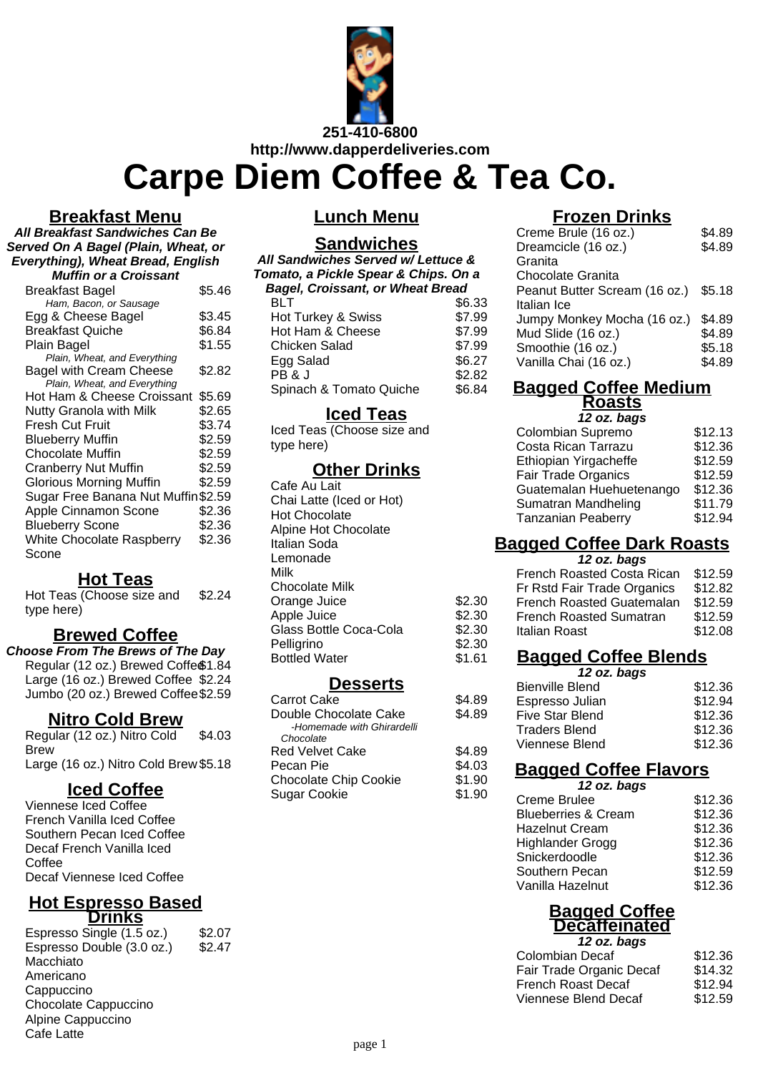

**Carpe Diem Coffee & Tea Co.**

#### **Breakfast Menu**

**All Breakfast Sandwiches Can Be Served On A Bagel (Plain, Wheat, or Everything), Wheat Bread, English Muffin or a Croissant**

| MUIIIII OI a UIOISSAIIL                   |        |
|-------------------------------------------|--------|
| <b>Breakfast Bagel</b>                    | \$5.46 |
| Ham, Bacon, or Sausage                    |        |
| Egg & Cheese Bagel                        | \$3.45 |
| <b>Breakfast Quiche</b>                   | \$6.84 |
| Plain Bagel                               | \$1.55 |
| Plain, Wheat, and Everything              |        |
| <b>Bagel with Cream Cheese</b>            | \$2.82 |
| Plain, Wheat, and Everything              |        |
| Hot Ham & Cheese Croissant                | \$5.69 |
| <b>Nutty Granola with Milk</b>            | \$2.65 |
| <b>Fresh Cut Fruit</b>                    | \$3.74 |
| <b>Blueberry Muffin</b>                   | \$2.59 |
| Chocolate Muffin                          | \$2.59 |
| <b>Cranberry Nut Muffin</b>               | \$2.59 |
| <b>Glorious Morning Muffin</b>            | \$2.59 |
| Sugar Free Banana Nut Muffin \$2.59       |        |
| Apple Cinnamon Scone                      | \$2.36 |
| <b>Blueberry Scone</b>                    | \$2.36 |
| <b>White Chocolate Raspberry</b><br>Scone | \$2.36 |
|                                           |        |

#### **Hot Teas**

Hot Teas (Choose size and type here) \$2.24

### **Brewed Coffee**

**Choose From The Brews of The Day** Regular (12 oz.) Brewed Coffe<sup>\$1.84</sup> Large (16 oz.) Brewed Coffee \$2.24 Jumbo (20 oz.) Brewed Coffee\$2.59

#### **Nitro Cold Brew**

Regular (12 oz.) Nitro Cold Brew \$4.03 Large (16 oz.) Nitro Cold Brew \$5.18

## **Iced Coffee**

Viennese Iced Coffee French Vanilla Iced Coffee Southern Pecan Iced Coffee Decaf French Vanilla Iced Coffee Decaf Viennese Iced Coffee

#### **Hot Espresso Based Drinks**

Espresso Single  $(1.5 \text{ oz.})$  \$2.07 Espresso Double (3.0 oz.) \$2.47 Macchiato Americano **Cappuccino** Chocolate Cappuccino Alpine Cappuccino Cafe Latte

### **Lunch Menu**

# **Sandwiches**

| All Sandwiches Served w/ Lettuce &      |        |  |
|-----------------------------------------|--------|--|
| Tomato, a Pickle Spear & Chips. On a    |        |  |
| <b>Bagel, Croissant, or Wheat Bread</b> |        |  |
| BLT                                     | \$6.33 |  |
| Hot Turkey & Swiss                      | \$7.99 |  |
| Hot Ham & Cheese                        | \$7.99 |  |
| <b>Chicken Salad</b>                    | \$7.99 |  |
| Egg Salad                               | \$6.27 |  |
| PB&J                                    | \$2.82 |  |
| Spinach & Tomato Quiche                 | \$6.84 |  |

### **Iced Teas**

Iced Teas (Choose size and type here)

#### **Other Drinks**

Cafe Au Lait Chai Latte (Iced or Hot) Hot Chocolate Alpine Hot Chocolate Italian Soda Lemonade Milk Chocolate Milk Orange Juice \$2.30 Apple Juice \$2.30 Glass Bottle Coca-Cola \$2.30 Pelligrino \$2.30 Bottled Water \$1.61

### **Desserts**

| Carrot Cake                  | \$4.89 |
|------------------------------|--------|
| Double Chocolate Cake        | \$4.89 |
| -Homemade with Ghirardelli   |        |
| Chocolate                    |        |
| Red Velvet Cake              | \$4.89 |
| Pecan Pie                    | \$4.03 |
| <b>Chocolate Chip Cookie</b> | \$1.90 |
| Sugar Cookie                 | \$1.90 |
|                              |        |

## **Frozen Drinks**

| Creme Brule (16 oz.)                 | \$4.89 |
|--------------------------------------|--------|
| Dreamcicle (16 oz.)                  | \$4.89 |
| Granita                              |        |
| Chocolate Granita                    |        |
| Peanut Butter Scream (16 oz.) \$5.18 |        |
| Italian Ice                          |        |
| Jumpy Monkey Mocha (16 oz.)          | \$4.89 |
| Mud Slide (16 oz.)                   | \$4.89 |
| Smoothie (16 oz.)                    | \$5.18 |
| Vanilla Chai (16 oz.)                | \$4.89 |
|                                      |        |

#### **Bagged Coffee Medium Roasts**

**12 oz. bags**

| Colombian Supremo          | \$12.13 |
|----------------------------|---------|
| Costa Rican Tarrazu        | \$12.36 |
| Ethiopian Yirgacheffe      | \$12.59 |
| <b>Fair Trade Organics</b> | \$12.59 |
| Guatemalan Huehuetenango   | \$12.36 |
| Sumatran Mandheling        | \$11.79 |
| <b>Tanzanian Peaberry</b>  | \$12.94 |
|                            |         |

## **Bagged Coffee Dark Roasts**

**12 oz. bags**

| French Roasted Costa Rican     | \$12.59 |
|--------------------------------|---------|
| Fr Rstd Fair Trade Organics    | \$12.82 |
| French Roasted Guatemalan      | \$12.59 |
| <b>French Roasted Sumatran</b> | \$12.59 |
| Italian Roast                  | \$12.08 |
|                                |         |

## **Bagged Coffee Blends**

| 12 oz. bags            |         |
|------------------------|---------|
| <b>Bienville Blend</b> | \$12.36 |
| Espresso Julian        | \$12.94 |
| <b>Five Star Blend</b> | \$12.36 |
| <b>Traders Blend</b>   | \$12.36 |
| Viennese Blend         | \$12.36 |

## **Bagged Coffee Flavors**

|        | 12 oz. bags |
|--------|-------------|
| ممانته |             |

| Creme Brulee                   | \$12.36 |
|--------------------------------|---------|
| <b>Blueberries &amp; Cream</b> | \$12.36 |
| <b>Hazelnut Cream</b>          | \$12.36 |
| <b>Highlander Grogg</b>        | \$12.36 |
| Snickerdoodle                  | \$12.36 |
| Southern Pecan                 | \$12.59 |
| Vanilla Hazelnut               | \$12.36 |

## **Bagged Coffee Decaffeinated**

| 12 oz. bags              |         |
|--------------------------|---------|
| Colombian Decaf          | \$12.36 |
| Fair Trade Organic Decaf | \$14.32 |
| French Roast Decaf       | \$12.94 |
| Viennese Blend Decaf     | \$12.59 |
|                          |         |